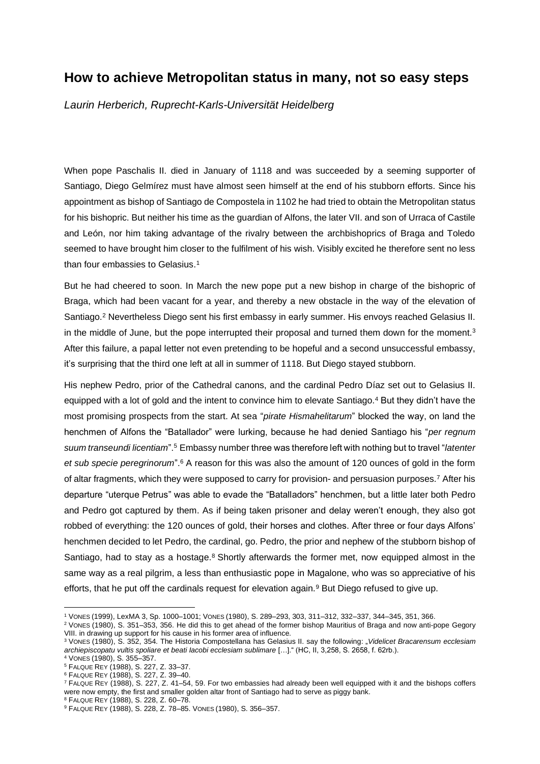## **How to achieve Metropolitan status in many, not so easy steps**

*Laurin Herberich, Ruprecht-Karls-Universität Heidelberg*

When pope Paschalis II. died in January of 1118 and was succeeded by a seeming supporter of Santiago, Diego Gelmírez must have almost seen himself at the end of his stubborn efforts. Since his appointment as bishop of Santiago de Compostela in 1102 he had tried to obtain the Metropolitan status for his bishopric. But neither his time as the guardian of Alfons, the later VII. and son of Urraca of Castile and León, nor him taking advantage of the rivalry between the archbishoprics of Braga and Toledo seemed to have brought him closer to the fulfilment of his wish. Visibly excited he therefore sent no less than four embassies to Gelasius.<sup>1</sup>

But he had cheered to soon. In March the new pope put a new bishop in charge of the bishopric of Braga, which had been vacant for a year, and thereby a new obstacle in the way of the elevation of Santiago.<sup>2</sup> Nevertheless Diego sent his first embassy in early summer. His envoys reached Gelasius II. in the middle of June, but the pope interrupted their proposal and turned them down for the moment. 3 After this failure, a papal letter not even pretending to be hopeful and a second unsuccessful embassy, it's surprising that the third one left at all in summer of 1118. But Diego stayed stubborn.

His nephew Pedro, prior of the Cathedral canons, and the cardinal Pedro Díaz set out to Gelasius II. equipped with a lot of gold and the intent to convince him to elevate Santiago.<sup>4</sup> But they didn't have the most promising prospects from the start. At sea "*pirate Hismahelitarum*" blocked the way, on land the henchmen of Alfons the "Batallador" were lurking, because he had denied Santiago his "*per regnum suum transeundi licentiam*".<sup>5</sup> Embassy number three was therefore left with nothing but to travel "*latenter et sub specie peregrinorum*".<sup>6</sup> A reason for this was also the amount of 120 ounces of gold in the form of altar fragments, which they were supposed to carry for provision- and persuasion purposes.<sup>7</sup> After his departure "uterque Petrus" was able to evade the "Batalladors" henchmen, but a little later both Pedro and Pedro got captured by them. As if being taken prisoner and delay weren't enough, they also got robbed of everything: the 120 ounces of gold, their horses and clothes. After three or four days Alfons' henchmen decided to let Pedro, the cardinal, go. Pedro, the prior and nephew of the stubborn bishop of Santiago, had to stay as a hostage.<sup>8</sup> Shortly afterwards the former met, now equipped almost in the same way as a real pilgrim, a less than enthusiastic pope in Magalone, who was so appreciative of his efforts, that he put off the cardinals request for elevation again.<sup>9</sup> But Diego refused to give up.

<sup>1</sup> VONES (1999), LexMA 3, Sp. 1000–1001; VONES (1980), S. 289–293, 303, 311–312, 332–337, 344–345, 351, 366.

<sup>2</sup> VONES (1980), S. 351–353, 356. He did this to get ahead of the former bishop Mauritius of Braga and now anti-pope Gegory VIII. in drawing up support for his cause in his former area of influence.

<sup>3</sup> VONES (1980), S. 352, 354. The Historia Compostellana has Gelasius II. say the following: "*Videlicet Bracarensum ecclesiam archiepiscopatu vultis spoliare et beati Iacobi ecclesiam sublimare* […]." (HC, II, 3,258, S. 2658, f. 62rb.).

<sup>4</sup> VONES (1980), S. 355–357.

<sup>5</sup> FALQUE REY (1988), S. 227, Z. 33–37.

<sup>6</sup> FALQUE REY (1988), S. 227, Z. 39–40.

<sup>7</sup> FALQUE REY (1988), S. 227, Z. 41–54, 59. For two embassies had already been well equipped with it and the bishops coffers were now empty, the first and smaller golden altar front of Santiago had to serve as piggy bank.

<sup>8</sup> FALQUE REY (1988), S. 228, Z. 60–78.

<sup>9</sup> FALQUE REY (1988), S. 228, Z. 78–85. VONES (1980), S. 356–357.